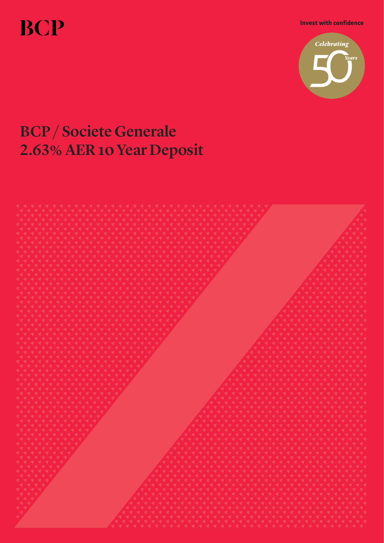BCP

Invest with confidence



# BCP / Societe Generale 2.63% AER 10 Year Deposit

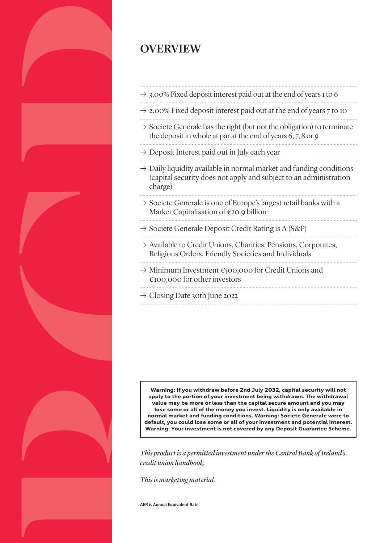

## **OVERVIEW**

| $\rightarrow$ 3.00% Fixed deposit interest paid out at the end of years 1 to 6 |  |  |  |  |  |  |  |  |  |  |  |  |  |  |  |  |  |  |  |  |  |  |  |  |  |  |  |  |  |  |  |  |  |  |  |
|--------------------------------------------------------------------------------|--|--|--|--|--|--|--|--|--|--|--|--|--|--|--|--|--|--|--|--|--|--|--|--|--|--|--|--|--|--|--|--|--|--|--|
|                                                                                |  |  |  |  |  |  |  |  |  |  |  |  |  |  |  |  |  |  |  |  |  |  |  |  |  |  |  |  |  |  |  |  |  |  |  |

- $\rightarrow$  2.00% Fixed deposit interest paid out at the end of years 7 to 10
- $\rightarrow$  Societe Generale has the right (but not the obligation) to terminate the deposit in whole at par at the end of years 6, 7, 8 or 9

 $\rightarrow$  Deposit Interest paid out in July each year

- $\rightarrow$  Daily liquidity available in normal market and funding conditions (capital security does not apply and subject to an administration charge)
- $\rightarrow$  Societe Generale is one of Europe's largest retail banks with a Market Capitalisation of €20.9 billion

- $\rightarrow$  Societe Generale Deposit Credit Rating is A (S&P)
- $\rightarrow$  Available to Credit Unions, Charities, Pensions, Corporates, Religious Orders, Friendly Societies and Individuals

- $\rightarrow$  Minimum Investment  $\epsilon$ 500,000 for Credit Unions and €100,000 for other investors
- $\rightarrow$  Closing Date 30th June 2022

Warning: If you withdraw before 2nd July 2032, capital security will not apply to the portion of your investment being withdrawn. The withdrawal value may be more or less than the capital secure amount and you may lose some or all of the money you invest. Liquidity is only available in normal market and funding conditions. Warning: Societe Generale were to default, you could lose some or all of your investment and potential interest. Warning: Your investment is not covered by any Deposit Guarantee Scheme.

*This product is a permitted investment underthe Central Bank of Ireland's credit union handbook.*

*This is marketing material.*

AER is Annual Equivalent Rate.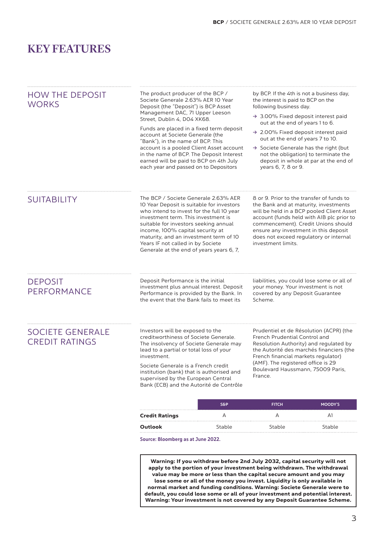### KEY FEATURES

| <b>HOW THE DEPOSIT</b><br><b>WORKS</b>           | The product producer of the BCP /<br>Societe Generale 2.63% AER 10 Year<br>Deposit (the "Deposit") is BCP Asset<br>Management DAC, 71 Upper Leeson                                                             |                | by BCP. If the 4th is not a business day,<br>the interest is paid to BCP on the<br>following business day.<br>$\rightarrow$ 3.00% Fixed deposit interest paid |                                                                                        |  |  |  |
|--------------------------------------------------|----------------------------------------------------------------------------------------------------------------------------------------------------------------------------------------------------------------|----------------|---------------------------------------------------------------------------------------------------------------------------------------------------------------|----------------------------------------------------------------------------------------|--|--|--|
|                                                  | Street, Dublin 4, DO4 XK68.<br>Funds are placed in a fixed term deposit                                                                                                                                        |                | out at the end of years 1 to 6.                                                                                                                               |                                                                                        |  |  |  |
|                                                  | account at Societe Generale (the                                                                                                                                                                               |                | $\rightarrow$ 2.00% Fixed deposit interest paid<br>out at the end of years 7 to 10.                                                                           |                                                                                        |  |  |  |
|                                                  | "Bank"), in the name of BCP. This<br>account is a pooled Client Asset account<br>in the name of BCP. The Deposit Interest<br>earned will be paid to BCP on 4th July<br>each year and passed on to Depositors   |                | $\rightarrow$ Societe Generale has the right (but<br>years 6, 7, 8 or 9.                                                                                      | not the obligation) to terminate the<br>deposit in whole at par at the end of          |  |  |  |
| <b>SUITABILITY</b>                               | The BCP / Societe Generale 2.63% AER<br>10 Year Deposit is suitable for investors<br>who intend to invest for the full 10 year<br>investment term. This investment is<br>suitable for investors seeking annual |                | 8 or 9. Prior to the transfer of funds to<br>the Bank and at maturity, investments<br>commencement). Credit Unions should                                     | will be held in a BCP pooled Client Asset<br>account (funds held with AIB plc prior to |  |  |  |
|                                                  | income, 100% capital security at<br>maturity, and an investment term of 10<br>Years IF not called in by Societe<br>Generale at the end of years years 6, 7,                                                    |                | ensure any investment in this deposit<br>does not exceed regulatory or internal<br>investment limits.                                                         |                                                                                        |  |  |  |
| <b>DEPOSIT</b><br><b>PERFORMANCE</b>             | Deposit Performance is the initial<br>investment plus annual interest. Deposit<br>Performance is provided by the Bank. In<br>the event that the Bank fails to meet its                                         |                | liabilities, you could lose some or all of<br>your money. Your investment is not<br>covered by any Deposit Guarantee<br>Scheme.                               |                                                                                        |  |  |  |
| <b>SOCIETE GENERALE</b><br><b>CREDIT RATINGS</b> | Investors will be exposed to the<br>creditworthiness of Societe Generale.<br>The insolvency of Societe Generale may<br>lead to a partial or total loss of your<br>investment.                                  |                | Prudentiel et de Résolution (ACPR) (the<br>French Prudential Control and<br>Resolution Authority) and regulated by<br>French financial markets regulator)     | the Autorité des marchés financiers (the                                               |  |  |  |
|                                                  | Societe Generale is a French credit<br>institution (bank) that is authorised and<br>supervised by the European Central<br>Bank (ECB) and the Autorité de Contrôle                                              |                | (AMF). The registered office is 29<br>Boulevard Haussmann, 75009 Paris.<br>France.                                                                            |                                                                                        |  |  |  |
|                                                  |                                                                                                                                                                                                                | <b>S&amp;P</b> | <b>FITCH</b>                                                                                                                                                  | MOODY'S                                                                                |  |  |  |
|                                                  |                                                                                                                                                                                                                | Α              | A                                                                                                                                                             | A1                                                                                     |  |  |  |
|                                                  | <b>Credit Ratings</b>                                                                                                                                                                                          |                |                                                                                                                                                               |                                                                                        |  |  |  |

Warning: If you withdraw before 2nd July 2032, capital security will not apply to the portion of your investment being withdrawn. The withdrawal value may be more or less than the capital secure amount and you may lose some or all of the money you invest. Liquidity is only available in normal market and funding conditions. Warning: Societe Generale were to default, you could lose some or all of your investment and potential interest. Warning: Your investment is not covered by any Deposit Guarantee Scheme.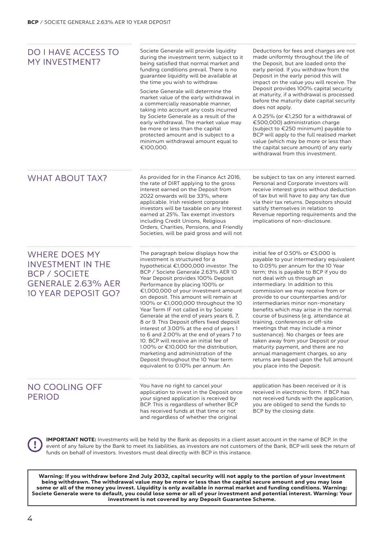| <b>DO I HAVE ACCESS TO</b><br>MY INVESTMENT?                                                                                        | Societe Generale will provide liquidity<br>during the investment term, subject to it<br>being satisfied that normal market and<br>funding conditions prevail. There is no<br>guarantee liquidity will be available at<br>the time you wish to withdraw.<br>Societe Generale will determine the<br>market value of the early withdrawal in<br>a commercially reasonable manner,<br>taking into account any costs incurred<br>by Societe Generale as a result of the<br>early withdrawal. The market value may<br>be more or less than the capital<br>protected amount and is subject to a<br>minimum withdrawal amount equal to<br>€100,000.                                                                                                                                             | Deductions for fees and charges are not<br>made uniformly throughout the life of<br>the Deposit, but are loaded onto the<br>early period. If you withdraw from the<br>Deposit in the early period this will<br>impact on the value you will receive. The<br>Deposit provides 100% capital security<br>at maturity, if a withdrawal is processed<br>before the maturity date capital security<br>does not apply.<br>A 0.25% (or €1,250 for a withdrawal of<br>€500,000) administration charge<br>(subject to €250 minimum) payable to<br>BCP will apply to the full realised market<br>value (which may be more or less than<br>the capital secure amount) of any early<br>withdrawal from this investment.                                          |
|-------------------------------------------------------------------------------------------------------------------------------------|-----------------------------------------------------------------------------------------------------------------------------------------------------------------------------------------------------------------------------------------------------------------------------------------------------------------------------------------------------------------------------------------------------------------------------------------------------------------------------------------------------------------------------------------------------------------------------------------------------------------------------------------------------------------------------------------------------------------------------------------------------------------------------------------|-----------------------------------------------------------------------------------------------------------------------------------------------------------------------------------------------------------------------------------------------------------------------------------------------------------------------------------------------------------------------------------------------------------------------------------------------------------------------------------------------------------------------------------------------------------------------------------------------------------------------------------------------------------------------------------------------------------------------------------------------------|
| <b>WHAT ABOUT TAX?</b>                                                                                                              | As provided for in the Finance Act 2016,<br>the rate of DIRT applying to the gross<br>interest earned on the Deposit from<br>2022 onwards will be 33%, where<br>applicable. Irish resident corporate<br>investors will be taxable on any Interest<br>earned at 25%. Tax exempt investors<br>including Credit Unions, Religious<br>Orders, Charities, Pensions, and Friendly<br>Societies, will be paid gross and will not                                                                                                                                                                                                                                                                                                                                                               | be subject to tax on any interest earned.<br>Personal and Corporate investors will<br>receive interest gross without deduction<br>of tax but will have to pay any tax due<br>via their tax returns. Depositors should<br>satisfy themselves in relation to<br>Revenue reporting requirements and the<br>implications of non-disclosure.                                                                                                                                                                                                                                                                                                                                                                                                             |
| <b>WHERE DOES MY</b><br><b>INVESTMENT IN THE</b><br><b>BCP / SOCIETE</b><br><b>GENERALE 2.63% AER</b><br><b>10 YEAR DEPOSIT GO?</b> | The paragraph below displays how the<br>investment is structured for a<br>hypothetical €1,000,000 investor. The<br>BCP / Societe Generale 2.63% AER 10<br>Year Deposit provides 100% Deposit<br>Performance by placing 100% or<br>€1,000,000 of your investment amount<br>on deposit. This amount will remain at<br>100% or €1,000,000 throughout the 10<br>Year Term IF not called in by Societe<br>Generale at the end of years years 6, 7,<br>8 or 9. This Deposit offers fixed deposit<br>interest of 3.00% at the end of years 1<br>to 6 and 2.00% at the end of years 7 to<br>10. BCP will receive an initial fee of<br>1.00% or €10,000 for the distribution,<br>marketing and administration of the<br>Deposit throughout the 10 Year term<br>equivalent to 0.10% per annum. An | initial fee of 0.50% or €5,000 is<br>payable to your intermediary equivalent<br>to 0.05% per annum for the 10 Year<br>term; this is payable to BCP if you do<br>not deal with us through an<br>intermediary. In addition to this<br>commission we may receive from or<br>provide to our counterparties and/or<br>intermediaries minor non-monetary<br>benefits which may arise in the normal<br>course of business (e.g. attendance at<br>training, conferences or off-site<br>meetings that may include a minor<br>sustenance). No charges or fees are<br>taken away from your Deposit or your<br>maturity payment, and there are no<br>annual management charges, so any<br>returns are based upon the full amount<br>you place into the Deposit. |
| <b>NO COOLING OFF</b><br><b>PERIOD</b>                                                                                              | You have no right to cancel your<br>application to invest in the Deposit once<br>your signed application is received by<br>BCP. This is regardless of whether BCP<br>has received funds at that time or not<br>and regardless of whether the original                                                                                                                                                                                                                                                                                                                                                                                                                                                                                                                                   | application has been received or it is<br>received in electronic form. If BCP has<br>not received funds with the application,<br>you are obliged to send the funds to<br>BCP by the closing date.                                                                                                                                                                                                                                                                                                                                                                                                                                                                                                                                                   |

IMPORTANT NOTE: Investments will be held by the Bank as deposits in a client asset account in the name of BCP. In the event of any failure by the Bank to meet its liabilities, as investors are not customers of the Bank, BCP will seek the return of funds on behalf of investors. Investors must deal directly with BCP in this instance.

Warning: If you withdraw before 2nd July 2032, capital security will not apply to the portion of your investment being withdrawn. The withdrawal value may be more or less than the capital secure amount and you may lose some or all of the money you invest. Liquidity is only available in normal market and funding conditions. Warning: Societe Generale were to default, you could lose some or all of your investment and potential interest. Warning: Your investment is not covered by any Deposit Guarantee Scheme.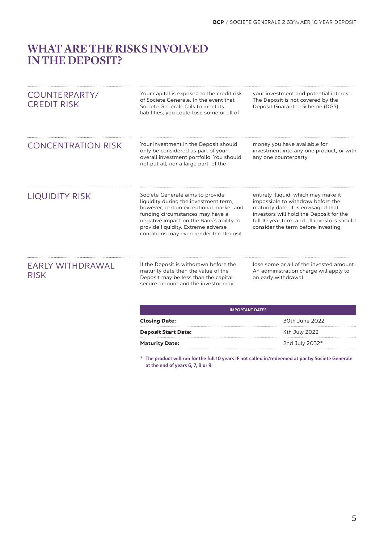### WHAT ARE THE RISKS INVOLVED IN THE DEPOSIT?

| COUNTERPARTY/<br><b>CREDIT RISK</b>    | Your capital is exposed to the credit risk<br>of Societe Generale. In the event that<br>Societe Generale fails to meet its<br>liabilities, you could lose some or all of                                                                                                             | your investment and potential interest.<br>The Deposit is not covered by the<br>Deposit Guarantee Scheme (DGS).                                                                                                                                  |
|----------------------------------------|--------------------------------------------------------------------------------------------------------------------------------------------------------------------------------------------------------------------------------------------------------------------------------------|--------------------------------------------------------------------------------------------------------------------------------------------------------------------------------------------------------------------------------------------------|
| <b>CONCENTRATION RISK</b>              | Your investment in the Deposit should<br>only be considered as part of your<br>overall investment portfolio. You should<br>not put all, nor a large part, of the                                                                                                                     | money you have available for<br>investment into any one product, or with<br>any one counterparty.                                                                                                                                                |
| <b>LIQUIDITY RISK</b>                  | Societe Generale aims to provide<br>liquidity during the investment term,<br>however, certain exceptional market and<br>funding circumstances may have a<br>negative impact on the Bank's ability to<br>provide liquidity. Extreme adverse<br>conditions may even render the Deposit | entirely illiquid, which may make it<br>impossible to withdraw before the<br>maturity date. It is envisaged that<br>investors will hold the Deposit for the<br>full 10 year term and all investors should<br>consider the term before investing. |
| <b>EARLY WITHDRAWAL</b><br><b>RISK</b> | If the Deposit is withdrawn before the<br>maturity date then the value of the<br>Deposit may be less than the capital<br>secure amount and the investor may                                                                                                                          | lose some or all of the invested amount.<br>An administration charge will apply to<br>an early withdrawal.                                                                                                                                       |
|                                        |                                                                                                                                                                                                                                                                                      | <b>IMPORTANT DATES</b>                                                                                                                                                                                                                           |

| <b>Closing Date:</b>       | 30th June 2022 |
|----------------------------|----------------|
| <b>Deposit Start Date:</b> | 4th July 2022  |
| <b>Maturity Date:</b>      | 2nd July 2032* |

\* The product will run for the full 10 years IF not called in/redeemed at par by Societe Generale at the end of years 6, 7, 8 or 9.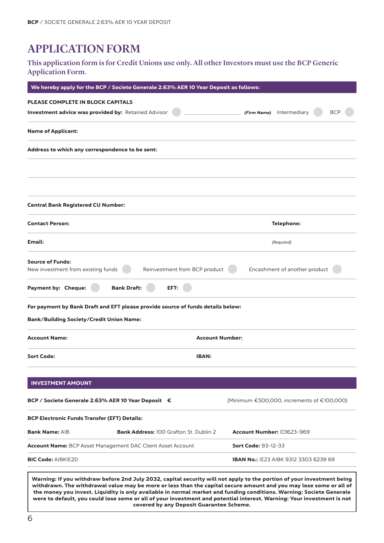### APPLICATION FORM

### This application form is for Credit Unions use only. All other Investors must use the BCP Generic Application Form.

|                                                               | We hereby apply for the BCP / Societe Generale 2.63% AER 10 Year Deposit as follows: |                                              |
|---------------------------------------------------------------|--------------------------------------------------------------------------------------|----------------------------------------------|
| PLEASE COMPLETE IN BLOCK CAPITALS                             |                                                                                      |                                              |
|                                                               | Investment advice was provided by: Retained Advisor                                  | Intermediary<br><b>BCP</b><br>(Firm Name)    |
| <b>Name of Applicant:</b>                                     |                                                                                      |                                              |
| Address to which any correspondence to be sent:               |                                                                                      |                                              |
|                                                               |                                                                                      |                                              |
|                                                               |                                                                                      |                                              |
| <b>Central Bank Registered CU Number:</b>                     |                                                                                      |                                              |
| <b>Contact Person:</b>                                        |                                                                                      | <b>Telephone:</b>                            |
| Email:                                                        |                                                                                      | (Required)                                   |
| <b>Source of Funds:</b><br>New investment from existing funds | Reinvestment from BCP product                                                        | Encashment of another product                |
| Payment by: Cheque:                                           | <b>Bank Draft:</b><br>EFT:                                                           |                                              |
|                                                               | For payment by Bank Draft and EFT please provide source of funds details below:      |                                              |
| <b>Bank/Building Society/Credit Union Name:</b>               |                                                                                      |                                              |
| <b>Account Name:</b>                                          |                                                                                      | <b>Account Number:</b>                       |
| <b>Sort Code:</b>                                             | <b>IBAN:</b>                                                                         |                                              |
|                                                               |                                                                                      |                                              |
| <b>INVESTMENT AMOUNT</b>                                      |                                                                                      |                                              |
|                                                               | BCP / Societe Generale 2.63% AER 10 Year Deposit €                                   | (Minimum €500,000, increments of €100,000)   |
| <b>BCP Electronic Funds Transfer (EFT) Details:</b>           |                                                                                      |                                              |
| <b>Bank Name: AIB</b>                                         | <b>Bank Address: 100 Grafton St. Dublin 2</b>                                        | <b>Account Number: 03623-969</b>             |
|                                                               | Account Name: BCP Asset Management DAC Client Asset Account                          | <b>Sort Code: 93-12-33</b>                   |
| <b>BIC Code: AIBKIE2D</b>                                     |                                                                                      | <b>IBAN No.: IE23 AIBK 9312 3303 6239 69</b> |
|                                                               |                                                                                      |                                              |

Warning: If you withdraw before 2nd July 2032, capital security will not apply to the portion of your investment being withdrawn. The withdrawal value may be more or less than the capital secure amount and you may lose some or all of the money you invest. Liquidity is only available in normal market and funding conditions. Warning: Societe Generale were to default, you could lose some or all of your investment and potential interest. Warning: Your investment is not covered by any Deposit Guarantee Scheme.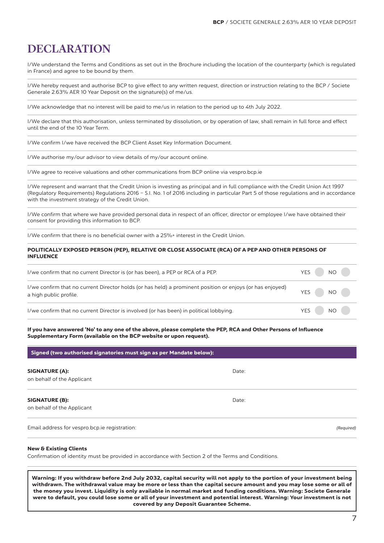### **DECLARATION**

I/We understand the Terms and Conditions as set out in the Brochure including the location of the counterparty (which is regulated in France) and agree to be bound by them.

I/We hereby request and authorise BCP to give effect to any written request, direction or instruction relating to the BCP / Societe Generale 2.63% AER 10 Year Deposit on the signature(s) of me/us.

I/We acknowledge that no interest will be paid to me/us in relation to the period up to 4th July 2022.

I/We declare that this authorisation, unless terminated by dissolution, or by operation of law, shall remain in full force and effect until the end of the 10 Year Term.

I/We confirm I/we have received the BCP Client Asset Key Information Document.

I/We authorise my/our advisor to view details of my/our account online.

I/We agree to receive valuations and other communications from BCP online via vespro.bcp.ie

I/We represent and warrant that the Credit Union is investing as principal and in full compliance with the Credit Union Act 1997 (Regulatory Requirements) Regulations 2016 – S.I. No. 1 of 2016 including in particular Part 5 of those regulations and in accordance with the investment strategy of the Credit Union.

I/We confirm that where we have provided personal data in respect of an officer, director or employee I/we have obtained their consent for providing this information to BCP.

I/We confirm that there is no beneficial owner with a 25%+ interest in the Credit Union.

#### POLITICALLY EXPOSED PERSON (PEP), RELATIVE OR CLOSE ASSOCIATE (RCA) OF A PEP AND OTHER PERSONS OF INFLUENCE

| I/we confirm that no current Director is (or has been), a PEP or RCA of a PEP.                                                      | YES NO |
|-------------------------------------------------------------------------------------------------------------------------------------|--------|
| I/we confirm that no current Director holds (or has held) a prominent position or enjoys (or has enjoyed)<br>a high public profile. | YES NO |
| I/we confirm that no current Director is involved (or has been) in political lobbying.                                              | YES NO |

#### If you have answered 'No' to any one of the above, please complete the PEP, RCA and Other Persons of Influence Supplementary Form (available on the BCP website or upon request).

| Signed (two authorised signatories must sign as per Mandate below): |       |            |
|---------------------------------------------------------------------|-------|------------|
| <b>SIGNATURE (A):</b><br>on behalf of the Applicant                 | Date: |            |
| <b>SIGNATURE (B):</b><br>on behalf of the Applicant                 | Date: |            |
| Email address for vespro.bcp.ie registration:                       |       | (Required) |

#### New & Existing Clients

Confirmation of identity must be provided in accordance with Section 2 of the Terms and Conditions.

Warning: If you withdraw before 2nd July 2032, capital security will not apply to the portion of your investment being withdrawn. The withdrawal value may be more or less than the capital secure amount and you may lose some or all of the money you invest. Liquidity is only available in normal market and funding conditions. Warning: Societe Generale were to default, you could lose some or all of your investment and potential interest. Warning: Your investment is not covered by any Deposit Guarantee Scheme.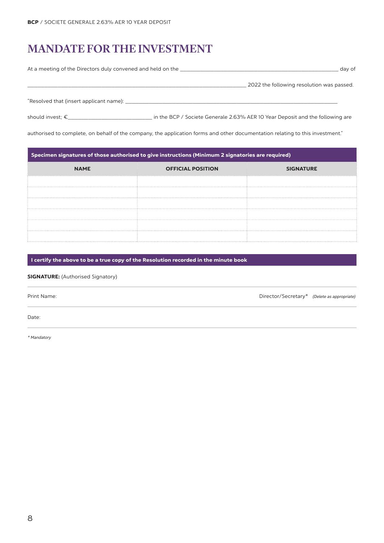### MANDATE FORTHE INVESTMENT

At a meeting of the Directors duly convened and held on the \_\_\_\_\_\_\_\_\_\_\_\_\_\_\_\_\_\_\_\_\_\_\_\_\_\_\_\_\_\_\_\_\_\_\_\_\_\_\_\_\_\_\_\_\_\_\_ day of

\_\_\_\_\_\_\_\_\_\_\_\_\_\_\_\_\_\_\_\_\_\_\_\_\_\_\_\_\_\_\_\_\_\_\_\_\_\_\_\_\_\_\_\_\_\_\_\_\_\_\_\_\_\_\_\_\_\_\_\_\_\_\_\_\_ 2022 the following resolution was passed.

"Resolved that (insert applicant name): \_\_\_\_\_\_\_\_\_\_\_\_\_\_\_\_\_\_\_\_\_\_\_\_\_\_\_\_\_\_\_\_\_\_\_\_\_\_\_\_\_\_\_\_\_\_\_\_\_\_\_\_\_\_\_\_\_\_\_\_\_\_\_

should invest; €\_\_\_\_\_\_\_\_\_\_\_\_\_\_\_\_\_\_\_\_\_\_\_\_\_ in the BCP / Societe Generale 2.63% AER 10 Year Deposit and the following are

authorised to complete, on behalf of the company, the application forms and other documentation relating to this investment."

#### Specimen signatures of those authorised to give instructions (Minimum 2 signatories are required)

| <b>NAME</b> | <b>OFFICIAL POSITION</b> | <b>SIGNATURE</b> |
|-------------|--------------------------|------------------|
|             |                          |                  |
|             |                          |                  |
|             |                          |                  |
|             |                          |                  |
|             |                          |                  |
|             |                          |                  |

I certify the above to be a true copy of the Resolution recorded in the minute book

#### SIGNATURE: (Authorised Signatory)

Print Name: Director/Secretary\* (Delete as appropriate)

Date:

\* Mandatory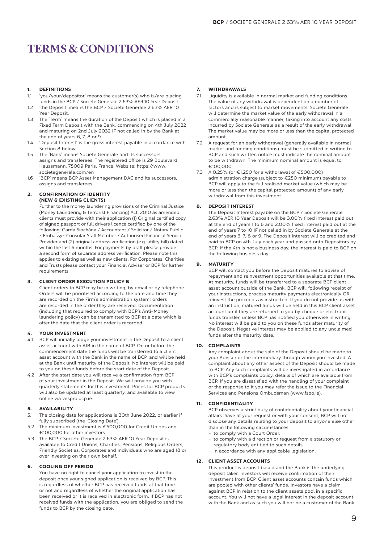### TERMS & CONDITIONS

#### 1. DEFINITIONS

- 1.1 'you/your/depositor' means the customer(s) who is/are placing funds in the BCP / Societe Generale 2.63% AER 10 Year Deposit.
- 1.2 'the Deposit' means the BCP / Societe Generale 2.63% AER 10 Year Deposit.
- 1.3 The 'Term' means the duration of the Deposit which is placed in a Fixed Term Deposit with the Bank, commencing on 4th July 2022 and maturing on 2nd July 2032 IF not called in by the Bank at the end of years 6, 7, 8 or 9.
- 1.4 'Deposit Interest' is the gross interest payable in accordance with Section 8 below.
- 1.5 The 'Bank' means Societe Generale and its successors, assigns and transferees. The registered office is 29 Boulevard Haussmann, 75009 Paris, France. Website: https://www. societegenerale.com/en
- 1.6 'BCP' means BCP Asset Management DAC and its successors, assigns and transferees.

#### 2. CONFIRMATION OF IDENTITY (NEW & EXISTING CLIENTS)

Further to the money laundering provisions of the Criminal Justice (Money Laundering & Terrorist Financing) Act, 2010 as amended clients must provide with their application (1) Original certified copy of signed passport or full drivers licence certified by one of the following: Garda Síochána / Accountant / Solicitor / Notary Public / Embassy- Consular Staff Member / Authorised Financial Service Provider and (2) original address verification (e.g. utility bill) dated within the last 6 months. For payments by draft please provide a second form of separate address verification. Please note this applies to existing as well as new clients. For Corporates, Charities and Trusts please contact your Financial Adviser or BCP for further requirements.

#### 3. CLIENT ORDER EXECUTION POLICY B

Client orders to BCP may be in writing, by email or by telephone. Orders will be prioritised according to the date and time they are recorded on the Firm's administration system; orders are recorded in the order they are received. Documentation (including that required to comply with BCP's Anti-Money laundering policy) can be transmitted to BCP at a date which is after the date that the client order is recorded.

#### 4. YOUR INVESTMENT

- 4.1 BCP will initially lodge your investment in the Deposit to a client asset account with AIB in the name of BCP. On or before the commencement date the funds will be transferred to a client asset account with the Bank in the name of BCP, and will be held at the Bank until maturity of the Deposit. No interest will be paid to you on these funds before the start date of the Deposit.
- 4.2 After the start date you will receive a confirmation from BCP of your investment in the Deposit. We will provide you with quarterly statements for this investment. Prices for BCP products will also be updated at least quarterly, and available to view online via vespro.bcp.ie.

#### 5. AVAILABILITY

- 5.1 The closing date for applications is 30th June 2022, or earlier if fully subscribed (the 'Closing Date').
- 5.2 The minimum investment is €500,000 for Credit Unions and €100,000 for other investors.
- 5.3 The BCP / Societe Generale 2.63% AER 10 Year Deposit is available to Credit Unions, Charities, Pensions, Religious Orders, Friendly Societies, Corporates and Individuals who are aged 18 or over investing on their own behalf.

#### 6. COOLING OFF PERIOD

You have no right to cancel your application to invest in the deposit once your signed application is received by BCP. This is regardless of whether BCP has received funds at that time or not and regardless of whether the original application has been received or it is received in electronic form. If BCP has not received funds with the application, you are obliged to send the funds to BCP by the closing date.

#### 7. WITHDRAWALS

- Liquidity is available in normal market and funding conditions. The value of any withdrawal is dependent on a number of factors and is subject to market movements. Societe Generale will determine the market value of the early withdrawal in a commercially reasonable manner, taking into account any costs incurred by Societe Generale as a result of the early withdrawal. The market value may be more or less than the capital protected amount.
- A request for an early withdrawal (generally available in normal market and funding conditions) must be submitted in writing to BCP and such written notice must indicate the nominal amount to be withdrawn. The minimum nominal amount is equal to €100,000.
- 7.3 A 0.25% (or €1,250 for a withdrawal of €500,000) administration charge (subject to €250 minimum) payable to BCP will apply to the full realised market value (which may be more or less than the capital protected amount) of any early withdrawal from this investment.

#### 8. DEPOSIT INTEREST

The Deposit Interest payable on the BCP / Societe Generale 2.63% AER 10 Year Deposit will be 3.00% fixed interest paid out at the end of years 1 to 6 and 2.00% fixed interest paid out at the end of years 7 to 10 IF not called in by Societe Generale at the end of years 6, 7, 8 or 9. The Deposit Interest will be credited and paid to BCP on 4th July each year and passed onto Depositors by BCP. If the 4th is not a business day, the interest is paid to BCP on the following business day.

#### 9. MATURITY

BCP will contact you before the Deposit matures to advise of repayment and reinvestment opportunities available at that time. At maturity, funds will be transferred to a separate BCP client asset account outside of the Bank. BCP will, following receipt of your instructions, process maturity payments electronically OR reinvest the proceeds as instructed. If you do not provide us with an instruction, matured funds will be held in this BCP client asset account until they are returned to you by cheque or electronic funds transfer, unless BCP has notified you otherwise in writing. No interest will be paid to you on these funds after maturity of the Deposit. Negative interest may be applied to any unclaimed funds after the maturity date.

#### 10. COMPLAINTS

Any complaint about the sale of the Deposit should be made to your Adviser or the intermediary through whom you invested. A complaint about any other aspect of the Deposit should be made to BCP. Any such complaints will be investigated in accordance with BCP's complaints policy, details of which are available from BCP. If you are dissatisfied with the handling of your complaint or the response to it you may refer the issue to the Financial Services and Pensions Ombudsman (www.fspo.ie).

#### 11. CONFIDENTIALITY

BCP observes a strict duty of confidentiality about your financial affairs. Save at your request or with your consent, BCP will not disclose any details relating to your deposit to anyone else other than in the following circumstances:

- to comply with a Court Order.
- to comply with a direction or request from a statutory or regulatory body entitled to such details.
- in accordance with any applicable legislation.

#### 12. CLIENT ASSET ACCOUNTS

This product is deposit based and the Bank is the underlying deposit taker. Investors will receive confirmation of their investment from BCP. Client asset accounts contain funds which are pooled with other clients' funds. Investors have a claim against BCP in relation to the client assets pool in a specific account. You will not have a legal interest in the deposit account with the Bank and as such you will not be a customer of the Bank.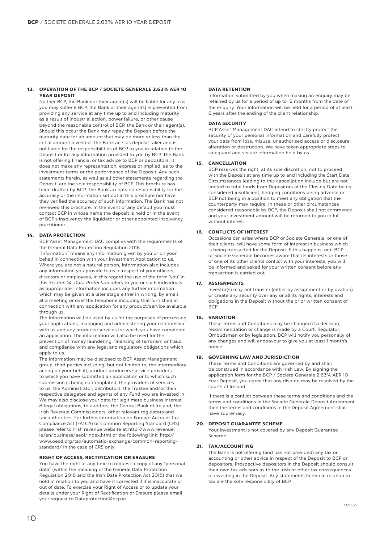#### 13. OPERATION OF THE BCP / SOCIETE GENERALE 2.63% AER 10 YEAR DEPOSIT

Neither BCP, the Bank nor their agent(s) will be liable for any loss you may suffer if BCP, the Bank or their agent(s) is prevented from providing any service at any time up to and including maturity as a result of industrial action, power failure, or other cause beyond the reasonable control of BCP, the Bank or their agent(s). Should this occur the Bank may repay the Deposit before the maturity date for an amount that may be more or less than the initial amount invested. The Bank acts as deposit taker and is not liable for the responsibilities of BCP to you in relation to the Deposit or for any information provided to you by BCP. The Bank is not offering financial or tax advice to BCP or depositors. It does not make any representation, express or implied, as to the investment terms or the performance of the Deposit. Any such statements herein, as well as all other statements regarding the Deposit, are the sole responsibility of BCP. This brochure has been drafted by BCP. The Bank accepts no responsibility for the accuracy or the information set out in this brochure nor have they verified the accuracy of such information. The Bank has not reviewed this brochure. In the event of any default you must contact BCP in whose name the deposit is held or in the event of BCP's insolvency the liquidator or other appointed insolvency practitioner.

#### 14. DATA PROTECTION

BCP Asset Management DAC complies with the requirements of the General Data Protection Regulation 2018. "Information" means any information given by you or on your behalf in connection with your Investment Application to us. Where you are not a natural person, Information also includes any information you provide to us in respect of your officers, directors or employees, in this regard the use of the term 'you' in this Section 14. Data Protection refers to you or such individuals as appropriate. Information includes any further information which may be given at a later stage either in writing, by email at a meeting or over the telephone including that furnished in connection with any application for any product/service available through us.

The Information will be used by us for the purposes of processing your applications, managing and administering your relationship with us and any products/services for which you have completed an application. The information will also be used for the prevention of money laundering, financing of terrorism or fraud, and compliance with any legal and regulatory obligations which apply to us.

The Information may be disclosed to BCP Asset Management group, third parties including, but not limited to, the intermediary acting on your behalf, product producers/service providers to which you have submitted an application or to which such submission is being contemplated, the providers of services to us, the Administrator, distributors, the Trustee and/or their respective delegates and agents of any Fund you are invested in. We may also disclose your data for legitimate business interest & legal obligations, to auditors, the Central Bank of Ireland, the Irish Revenue Commissioners, other relevant regulators and tax authorities. For further information on Foreign Account Tax Compliance Act (FATCA) or Common Reporting Standard (CRS) please refer to Irish revenue website at http://www.revenue. ie/en/business/aeoi/index.html or the following link: http:// www.oecd.org/tax/automatic-exchange/common-reportingstandard/ in the case of CRS only.

#### RIGHT OF ACCESS, RECTIFICATION OR ERASURE

You have the right at any time to request a copy of any "personal data" (within the meaning of the General Data Protection Regulation 2018 and the Irish Data Protection Act 2018) that we hold in relation to you and have it corrected if it is inaccurate or out of date. To exercise your Right of Access or to update your details under your Right of Rectification or Erasure please email your request to Dataprotection@bcp.ie.

#### DATA RETENTION

Information submitted by you when making an enquiry may be retained by us for a period of up to 12 months from the date of the enquiry. Your information will be held for a period of at least 6 years after the ending of the client relationship.

#### DATA SECURITY

BCP Asset Management DAC intend to strictly protect the security of your personal information and carefully protect your data from loss, misuse, unauthorised access or disclosure, alteration or destruction. We have taken appropriate steps to safeguard and secure information held by us.

#### 15. CANCELLATION

BCP reserves the right, at its sole discretion, not to proceed with the Deposit at any time up to and including the Start Date. Circumstances leading to this cancellation include but are not limited to total funds from Depositors at the Closing Date being considered insufficient, hedging conditions being adverse or BCP not being in a position to meet any obligation that the counterparty may require. In these or other circumstances considered reasonable by BCP, the Deposit shall not commence and your investment amount will be returned to you in full without interest.

#### 16. CONFLICTS OF INTEREST

Occasions can arise where BCP or Societe Generale, or one of their clients, will have some form of interest in business which is being transacted for the Deposit. If this happens, or if BCP or Societe Generale becomes aware that its interests or those of one of its other clients conflict with your interests, you will be informed and asked for your written consent before any transaction is carried out.

#### 17. ASSIGNMENTS

Investor(s) may not transfer (either by assignment or by ovation) or create any security over any or all its rights, interests and obligations in the Deposit without the prior written consent of BCP.

#### 18. VARIATION

These Terms and Conditions may be changed if a decision, recommendation or change is made by a Court, Regulator, Ombudsman or by legislation. BCP will notify you personally of any changes and will endeavour to give you at least 1 month's notice.

#### 19. GOVERNING LAW AND JURISDICTION

These Terms and Conditions are governed by and shall be construed in accordance with Irish Law. By signing the application form for the BCP / Societe Generale 2.63% AER 10 Year Deposit, you agree that any dispute may be resolved by the courts of Ireland.

If there is a conflict between these terms and conditions and the terms and conditions in the Societe Generale Deposit Agreement then the terms and conditions in the Deposit Agreement shall have supremacy.

#### 20. DEPOSIT GUARANTEE SCHEME

Your investment is not covered by any Deposit Guarantee Scheme.

#### 21. TAX/ACCOUNTING

The Bank is not offering (and has not provided) any tax or accounting or other advice in respect of the Deposit to BCP or depositors. Prospective depositors in the Deposit should consult their own tax advisors as to the Irish or other tax consequences of investing in the Deposit. Any statements herein in relation to tax are the sole responsibility of BCP.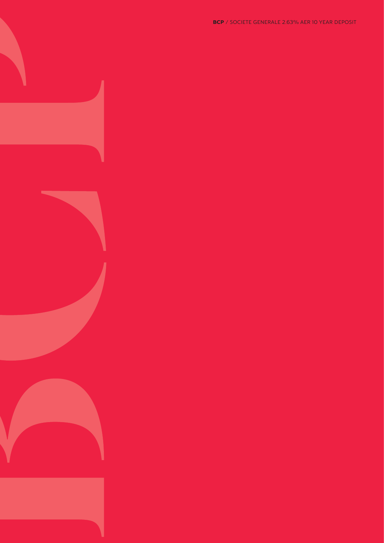